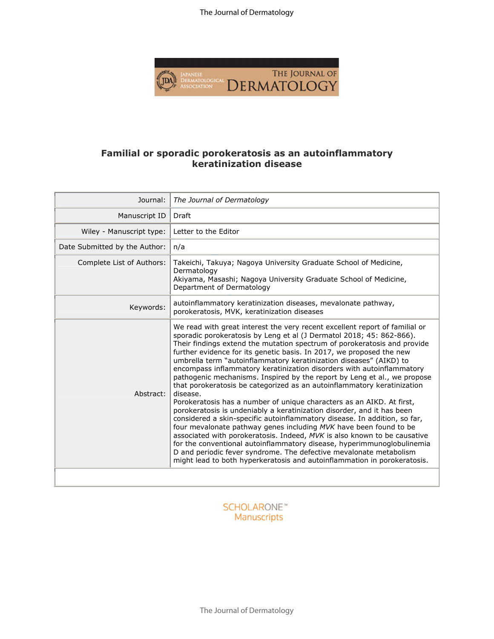The Journal of Dermatology



## **Familial or sporadic porokeratosis as an autoinflammatory keratinization disease**

| Journal:                      | The Journal of Dermatology                                                                                                                                                                                                                                                                                                                                                                                                                                                                                                                                                                                                                                                                                                                                                                                                                                                                                                                                                                                                                                                                                                                                                                                                             |
|-------------------------------|----------------------------------------------------------------------------------------------------------------------------------------------------------------------------------------------------------------------------------------------------------------------------------------------------------------------------------------------------------------------------------------------------------------------------------------------------------------------------------------------------------------------------------------------------------------------------------------------------------------------------------------------------------------------------------------------------------------------------------------------------------------------------------------------------------------------------------------------------------------------------------------------------------------------------------------------------------------------------------------------------------------------------------------------------------------------------------------------------------------------------------------------------------------------------------------------------------------------------------------|
| Manuscript ID                 | Draft                                                                                                                                                                                                                                                                                                                                                                                                                                                                                                                                                                                                                                                                                                                                                                                                                                                                                                                                                                                                                                                                                                                                                                                                                                  |
| Wiley - Manuscript type:      | Letter to the Editor                                                                                                                                                                                                                                                                                                                                                                                                                                                                                                                                                                                                                                                                                                                                                                                                                                                                                                                                                                                                                                                                                                                                                                                                                   |
| Date Submitted by the Author: | n/a                                                                                                                                                                                                                                                                                                                                                                                                                                                                                                                                                                                                                                                                                                                                                                                                                                                                                                                                                                                                                                                                                                                                                                                                                                    |
| Complete List of Authors:     | Takeichi, Takuya; Nagoya University Graduate School of Medicine,<br>Dermatology<br>Akiyama, Masashi; Nagoya University Graduate School of Medicine,<br>Department of Dermatology                                                                                                                                                                                                                                                                                                                                                                                                                                                                                                                                                                                                                                                                                                                                                                                                                                                                                                                                                                                                                                                       |
| Keywords:                     | autoinflammatory keratinization diseases, mevalonate pathway,<br>porokeratosis, MVK, keratinization diseases                                                                                                                                                                                                                                                                                                                                                                                                                                                                                                                                                                                                                                                                                                                                                                                                                                                                                                                                                                                                                                                                                                                           |
| Abstract:                     | We read with great interest the very recent excellent report of familial or<br>sporadic porokeratosis by Leng et al (J Dermatol 2018; 45: 862-866).<br>Their findings extend the mutation spectrum of porokeratosis and provide<br>further evidence for its genetic basis. In 2017, we proposed the new<br>umbrella term "autoinflammatory keratinization diseases" (AIKD) to<br>encompass inflammatory keratinization disorders with autoinflammatory<br>pathogenic mechanisms. Inspired by the report by Leng et al., we propose<br>that porokeratosis be categorized as an autoinflammatory keratinization<br>disease.<br>Porokeratosis has a number of unique characters as an AIKD. At first,<br>porokeratosis is undeniably a keratinization disorder, and it has been<br>considered a skin-specific autoinflammatory disease. In addition, so far,<br>four mevalonate pathway genes including MVK have been found to be<br>associated with porokeratosis. Indeed, MVK is also known to be causative<br>for the conventional autoinflammatory disease, hyperimmunoglobulinemia<br>D and periodic fever syndrome. The defective mevalonate metabolism<br>might lead to both hyperkeratosis and autoinflammation in porokeratosis. |
|                               |                                                                                                                                                                                                                                                                                                                                                                                                                                                                                                                                                                                                                                                                                                                                                                                                                                                                                                                                                                                                                                                                                                                                                                                                                                        |

## **SCHOLARONE™** Manuscripts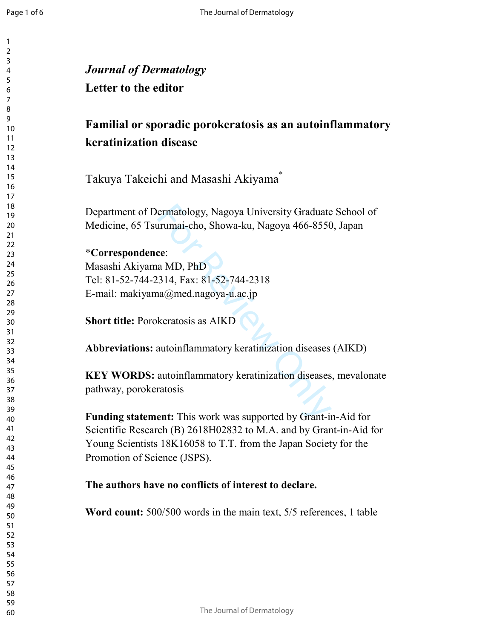| <b>Familial or sporadic porokeratosis as an autoinflammatory</b>                                                                                                                                                                                |
|-------------------------------------------------------------------------------------------------------------------------------------------------------------------------------------------------------------------------------------------------|
| keratinization disease                                                                                                                                                                                                                          |
| Takuya Takeichi and Masashi Akiyama <sup>®</sup>                                                                                                                                                                                                |
| Department of Dermatology, Nagoya University Graduate School of<br>Medicine, 65 Tsurumai-cho, Showa-ku, Nagoya 466-8550, Japan                                                                                                                  |
| *Correspondence:<br>Masashi Akiyama MD, PhD                                                                                                                                                                                                     |
| Tel: 81-52-744-2314, Fax: 81-52-744-2318<br>E-mail: makiyama@med.nagoya-u.ac.jp                                                                                                                                                                 |
| <b>Short title: Porokeratosis as AIKD</b>                                                                                                                                                                                                       |
| <b>Abbreviations:</b> autoinflammatory keratinization diseases (AIKD)                                                                                                                                                                           |
| <b>KEY WORDS:</b> autoinflammatory keratinization diseases, mevalonate<br>pathway, porokeratosis                                                                                                                                                |
| <b>Funding statement:</b> This work was supported by Grant-in-Aid for<br>Scientific Research (B) 2618H02832 to M.A. and by Grant-in-Aid for<br>Young Scientists 18K16058 to T.T. from the Japan Society for the<br>Promotion of Science (JSPS). |
| The authors have no conflicts of interest to declare.                                                                                                                                                                                           |
| <b>Word count:</b> 500/500 words in the main text, 5/5 references, 1 table                                                                                                                                                                      |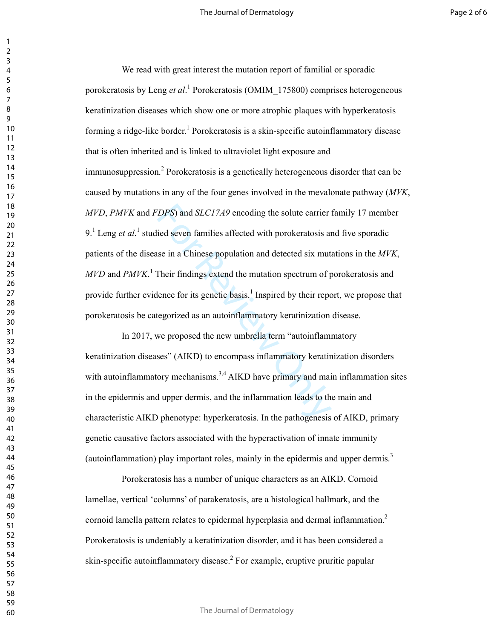*DPS*) and *SLC17A9* encoding the solute carrier is<br>ied seven families affected with porokeratosis anse in a Chinese population and detected six mut.<br>Their findings extend the mutation spectrum of p<br>lence for its genetic b We read with great interest the mutation report of familial or sporadic porokeratosis by Leng *et al*.<sup>1</sup> Porokeratosis (OMIM\_175800) comprises heterogeneous keratinization diseases which show one or more atrophic plaques with hyperkeratosis forming a ridge-like border.<sup>1</sup> Porokeratosis is a skin-specific autoinflammatory disease that is often inherited and is linked to ultraviolet light exposure and immunosuppression.<sup>2</sup> Porokeratosis is a genetically heterogeneous disorder that can be caused by mutations in any of the four genes involved in the mevalonate pathway (*MVK*, *MVD*, *PMVK* and *FDPS*) and *SLC17A9* encoding the solute carrier family 17 member 9.<sup>1</sup> Leng *et al*.<sup>1</sup> studied seven families affected with porokeratosis and five sporadic patients of the disease in a Chinese population and detected six mutations in the *MVK*, *MVD* and *PMVK* . 1 Their findings extend the mutation spectrum of porokeratosis and provide further evidence for its genetic basis.<sup>1</sup> Inspired by their report, we propose that porokeratosis be categorized as an autoinflammatory keratinization disease.

In 2017, we proposed the new umbrella term "autoinflammatory keratinization diseases" (AIKD) to encompass inflammatory keratinization disorders with autoinflammatory mechanisms.<sup>3,4</sup> AIKD have primary and main inflammation sites in the epidermis and upper dermis, and the inflammation leads to the main and characteristic AIKD phenotype: hyperkeratosis. In the pathogenesis of AIKD, primary genetic causative factors associated with the hyperactivation of innate immunity (autoinflammation) play important roles, mainly in the epidermis and upper dermis.<sup>3</sup>

Porokeratosis has a number of unique characters as an AIKD. Cornoid lamellae, vertical 'columns' of parakeratosis, are a histological hallmark, and the cornoid lamella pattern relates to epidermal hyperplasia and dermal inflammation. 2 Porokeratosis is undeniably a keratinization disorder, and it has been considered a skin-specific autoinflammatory disease. 2 For example, eruptive pruritic papular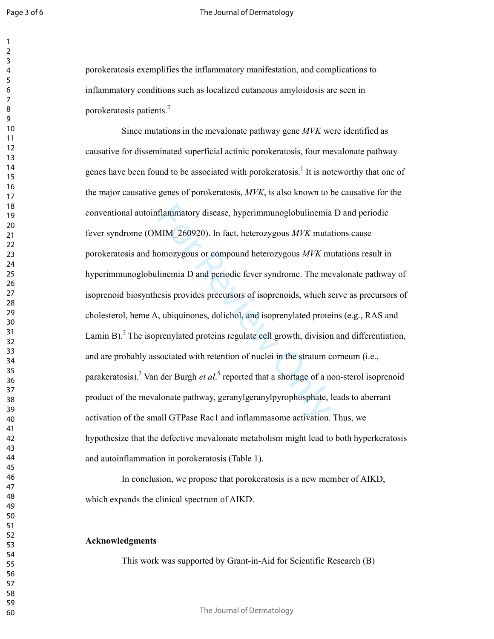Page 3 of 6

 $\overline{2}$ 

#### The Journal of Dermatology

porokeratosis exemplifies the inflammatory manifestation, and complications to inflammatory conditions such as localized cutaneous amyloidosis are seen in porokeratosis patients. 2

flammatory disease, hyperimmunoglobulinemia<br>MIM\_260920). In fact, heterozygous  $MVK$  mutar<br>omozygous or compound heterozygous  $MVK$  mutar<br>linemia D and periodic fever syndrome. The me<br>esis provides precursors of isoprenoids Since mutations in the mevalonate pathway gene *MVK* were identified as causative for disseminated superficial actinic porokeratosis, four mevalonate pathway genes have been found to be associated with porokeratosis.<sup>1</sup> It is noteworthy that one of the major causative genes of porokeratosis, *MVK*, is also known to be causative for the conventional autoinflammatory disease, hyperimmunoglobulinemia D and periodic fever syndrome (OMIM\_260920). In fact, heterozygous *MVK* mutations cause porokeratosis and homozygous or compound heterozygous *MVK* mutations result in hyperimmunoglobulinemia D and periodic fever syndrome. The mevalonate pathway of isoprenoid biosynthesis provides precursors of isoprenoids, which serve as precursors of cholesterol, heme A, ubiquinones, dolichol, and isoprenylated proteins (e.g., RAS and Lamin B).<sup>2</sup> The isoprenylated proteins regulate cell growth, division and differentiation, and are probably associated with retention of nuclei in the stratum corneum (i.e., parakeratosis).<sup>2</sup> Van der Burgh *et al*.<sup>5</sup> reported that a shortage of a non-sterol isoprenoid product of the mevalonate pathway, geranylgeranylpyrophosphate, leads to aberrant activation of the small GTPase Rac1 and inflammasome activation. Thus, we hypothesize that the defective mevalonate metabolism might lead to both hyperkeratosis and autoinflammation in porokeratosis (Table 1).

In conclusion, we propose that porokeratosis is a new member of AIKD, which expands the clinical spectrum of AIKD.

### **Acknowledgments**

This work was supported by Grant-in-Aid for Scientific Research (B)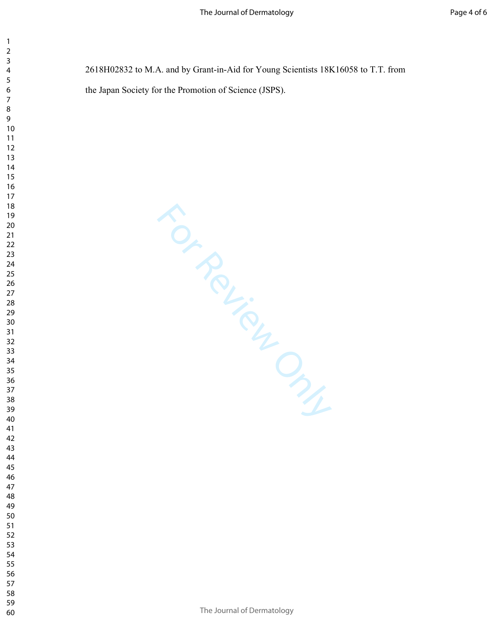2618H02832 to M.A. and by Grant-in-Aid for Young Scientists 18K16058 to T.T. from the Japan Society for the Promotion of Science (JSPS).

For Review Only

- 
- 
- 
- 
- 
-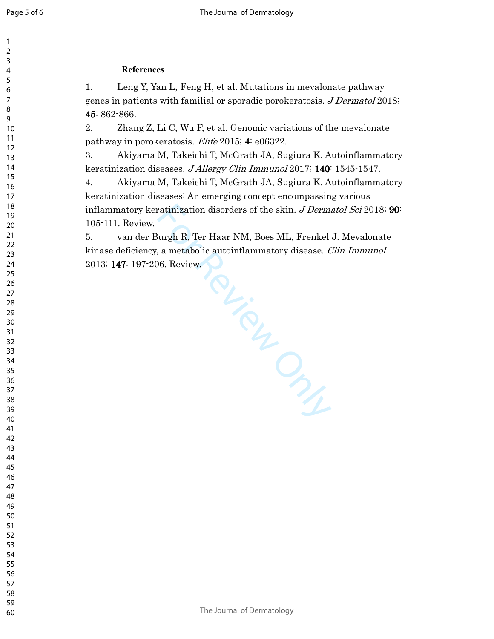# **References**

1. Leng Y, Yan L, Feng H, et al. Mutations in mevalonate pathway genes in patients with familial or sporadic porokeratosis. *J Dermatol* 2018; 45: 862-866. 45

2. Zhang Z, Li C, Wu F, et al. Genomic variations of the mevalonate pathway in porokeratosis. Elife 2015; 4: e06322.

3. Akiyama M, Takeichi T, McGrath JA, Sugiura K. Autoinflammatory keratinization diseases. J Allergy Clin Immunol 2017; 140: 1545-1547.

4. Akiyama M, Takeichi T, McGrath JA, Sugiura K. Autoinflammatory keratinization diseases: An emerging concept encompassing various inflammatory keratinization disorders of the skin. *J Dermatol Sci* 2018; 90: 105-111. Review.

S. Review Manuscript 5. van der Burgh R, Ter Haar NM, Boes ML, Frenkel J. Mevalonate kinase deficiency, a metabolic autoinflammatory disease. *Clin Immunol* 2013; 147: 197-206. Review.